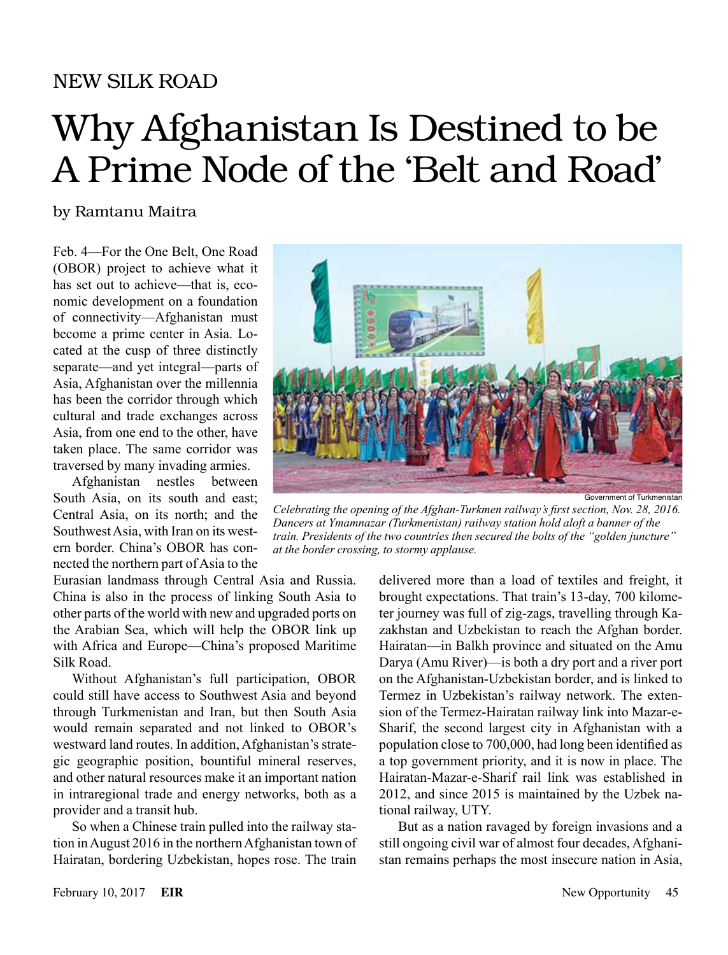### NEW SILK ROAD

# Why Afghanistan Is Destined to be A Prime Node of the 'Belt and Road'

#### by Ramtanu Maitra

Feb. 4—For the One Belt, One Road (OBOR) project to achieve what it has set out to achieve—that is, economic development on a foundation of connectivity—Afghanistan must become a prime center in Asia. Located at the cusp of three distinctly separate—and yet integral—parts of Asia, Afghanistan over the millennia has been the corridor through which cultural and trade exchanges across Asia, from one end to the other, have taken place. The same corridor was traversed by many invading armies.

Afghanistan nestles between South Asia, on its south and east; Central Asia, on its north; and the Southwest Asia, with Iran on its western border. China's OBOR has connected the northern part of Asia to the

Eurasian landmass through Central Asia and Russia. China is also in the process of linking South Asia to other parts of the world with new and upgraded ports on the Arabian Sea, which will help the OBOR link up with Africa and Europe—China's proposed Maritime Silk Road.

Without Afghanistan's full participation, OBOR could still have access to Southwest Asia and beyond through Turkmenistan and Iran, but then South Asia would remain separated and not linked to OBOR's westward land routes. In addition, Afghanistan's strategic geographic position, bountiful mineral reserves, and other natural resources make it an important nation in intraregional trade and energy networks, both as a provider and a transit hub.

So when a Chinese train pulled into the railway station in August 2016 in the northern Afghanistan town of Hairatan, bordering Uzbekistan, hopes rose. The train



*Celebrating the opening of the Afghan-Turkmen railway's first section, Nov. 28, 2016. Dancers at Ymamnazar (Turkmenistan) railway station hold aloft a banner of the train. Presidents of the two countries then secured the bolts of the "golden juncture" at the border crossing, to stormy applause.*

delivered more than a load of textiles and freight, it brought expectations. That train's 13-day, 700 kilometer journey was full of zig-zags, travelling through Kazakhstan and Uzbekistan to reach the Afghan border. Hairatan—in Balkh province and situated on the Amu Darya (Amu River)—is both a dry port and a river port on the Afghanistan-Uzbekistan border, and is linked to Termez in Uzbekistan's railway network. The extension of the Termez-Hairatan railway link into Mazar-e-Sharif, the second largest city in Afghanistan with a population close to 700,000, had long been identified as a top government priority, and it is now in place. The Hairatan-Mazar-e-Sharif rail link was established in 2012, and since 2015 is maintained by the Uzbek national railway, UTY.

But as a nation ravaged by foreign invasions and a still ongoing civil war of almost four decades, Afghanistan remains perhaps the most insecure nation in Asia,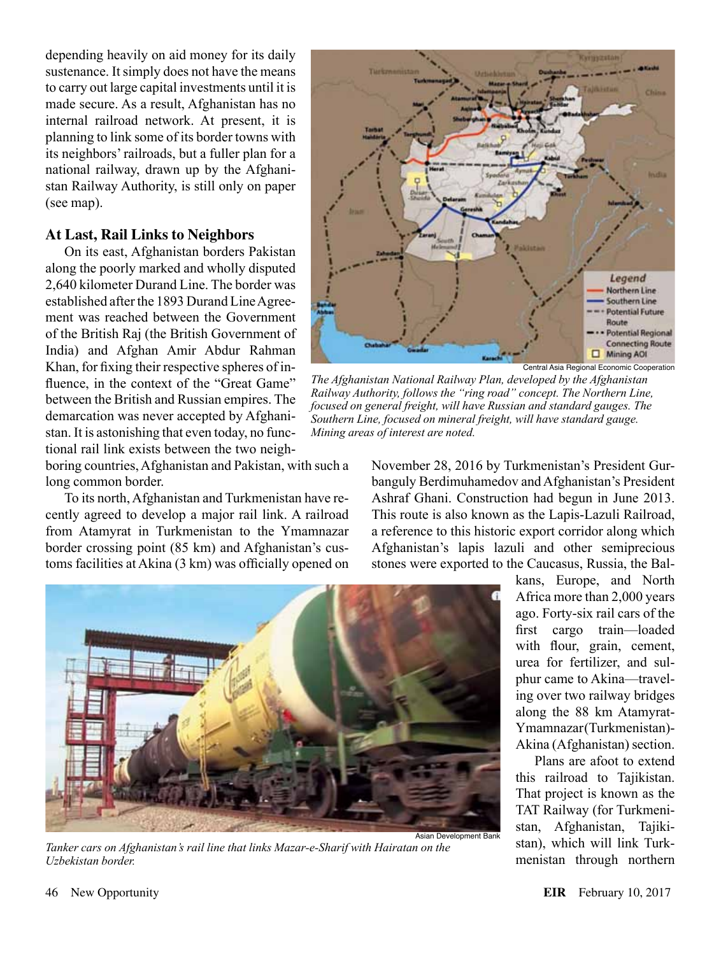depending heavily on aid money for its daily sustenance. It simply does not have the means to carry out large capital investments until it is made secure. As a result, Afghanistan has no internal railroad network. At present, it is planning to link some of its border towns with its neighbors' railroads, but a fuller plan for a national railway, drawn up by the Afghanistan Railway Authority, is still only on paper (see map).

#### **At Last, Rail Links to Neighbors**

On its east, Afghanistan borders Pakistan along the poorly marked and wholly disputed 2,640 kilometer Durand Line. The border was established after the 1893 Durand Line Agreement was reached between the Government of the British Raj (the British Government of India) and Afghan Amir Abdur Rahman Khan, for fixing their respective spheres of influence, in the context of the "Great Game" between the British and Russian empires. The demarcation was never accepted by Afghanistan. It is astonishing that even today, no functional rail link exists between the two neigh-

boring countries, Afghanistan and Pakistan, with such a long common border.

To its north, Afghanistan and Turkmenistan have recently agreed to develop a major rail link. A railroad from Atamyrat in Turkmenistan to the Ymamnazar border crossing point (85 km) and Afghanistan's customs facilities at Akina (3 km) was officially opened on



Central Asia Regional Economic Cooperation

*The Afghanistan National Railway Plan, developed by the Afghanistan Railway Authority, follows the "ring road" concept. The Northern Line, focused on general freight, will have Russian and standard gauges. The Southern Line, focused on mineral freight, will have standard gauge. Mining areas of interest are noted.*

November 28, 2016 by Turkmenistan's President Gurbanguly Berdimuhamedov and Afghanistan's President Ashraf Ghani. Construction had begun in June 2013. This route is also known as the Lapis-Lazuli Railroad, a reference to this historic export corridor along which Afghanistan's lapis lazuli and other semiprecious stones were exported to the Caucasus, Russia, the Bal-



*Tanker cars on Afghanistan's rail line that links Mazar-e-Sharif with Hairatan on the Uzbekistan border.*

kans, Europe, and North Africa more than 2,000 years ago. Forty-six rail cars of the first cargo train—loaded with flour, grain, cement, urea for fertilizer, and sulphur came to Akina—traveling over two railway bridges along the 88 km Atamyrat-Ymamnazar (Turkmenistan)- Akina (Afghanistan) section.

Plans are afoot to extend this railroad to Tajikistan. That project is known as the TAT Railway (for Turkmenistan, Afghanistan, Tajikistan), which will link Turkmenistan through northern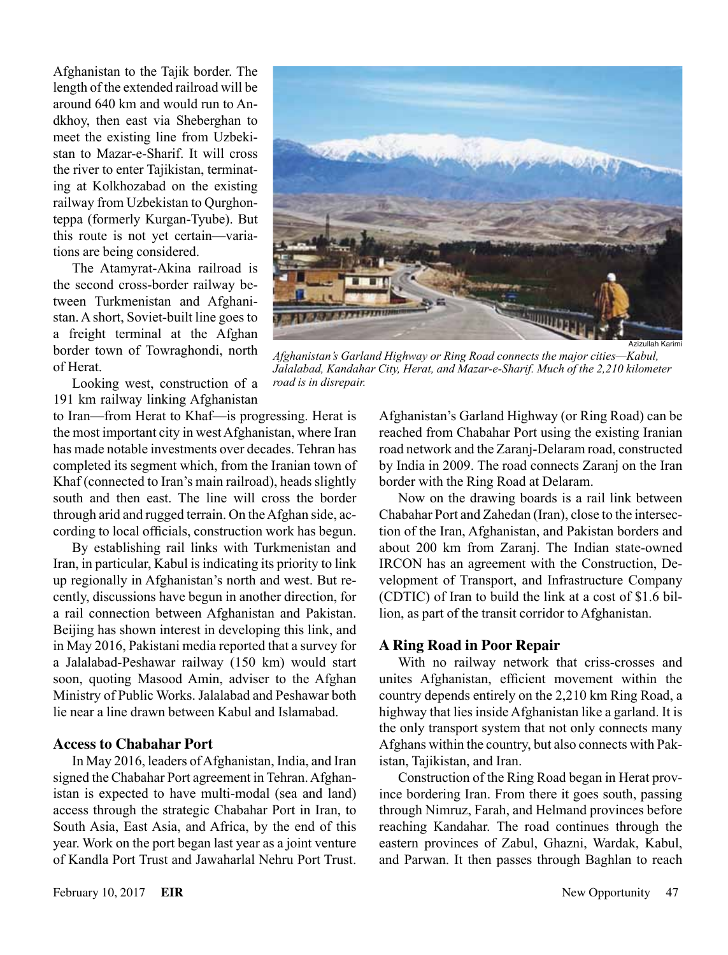Afghanistan to the Tajik border. The length of the extended railroad will be around 640 km and would run to Andkhoy, then east via Sheberghan to meet the existing line from Uzbekistan to Mazar-e-Sharif. It will cross the river to enter Tajikistan, terminating at Kolkhozabad on the existing railway from Uzbekistan to Qurghonteppa (formerly Kurgan-Tyube). But this route is not yet certain—variations are being considered.

The Atamyrat-Akina railroad is the second cross-border railway between Turkmenistan and Afghanistan. A short, Soviet-built line goes to a freight terminal at the Afghan border town of Towraghondi, north of Herat.

Looking west, construction of a 191 km railway linking Afghanistan

to Iran—from Herat to Khaf—is progressing. Herat is the most important city in west Afghanistan, where Iran has made notable investments over decades. Tehran has completed its segment which, from the Iranian town of Khaf (connected to Iran's main railroad), heads slightly south and then east. The line will cross the border through arid and rugged terrain. On the Afghan side, according to local officials, construction work has begun.

By establishing rail links with Turkmenistan and Iran, in particular, Kabul is indicating its priority to link up regionally in Afghanistan's north and west. But recently, discussions have begun in another direction, for a rail connection between Afghanistan and Pakistan. Beijing has shown interest in developing this link, and in May 2016, Pakistani media reported that a survey for a Jalalabad-Peshawar railway (150 km) would start soon, quoting Masood Amin, adviser to the Afghan Ministry of Public Works. Jalalabad and Peshawar both lie near a line drawn between Kabul and Islamabad.

#### **Access to Chabahar Port**

In May 2016, leaders of Afghanistan, India, and Iran signed the Chabahar Port agreement in Tehran. Afghanistan is expected to have multi-modal (sea and land) access through the strategic Chabahar Port in Iran, to South Asia, East Asia, and Africa, by the end of this year. Work on the port began last year as a joint venture of Kandla Port Trust and Jawaharlal Nehru Port Trust.



*Afghanistan's Garland Highway or Ring Road connects the major cities—Kabul, Jalalabad, Kandahar City, Herat, and Mazar-e-Sharif. Much of the 2,210 kilometer road is in disrepair.*

Afghanistan's Garland Highway (or Ring Road) can be reached from Chabahar Port using the existing Iranian road network and the Zaranj-Delaram road, constructed by India in 2009. The road connects Zaranj on the Iran border with the Ring Road at Delaram.

Now on the drawing boards is a rail link between Chabahar Port and Zahedan (Iran), close to the intersection of the Iran, Afghanistan, and Pakistan borders and about 200 km from Zaranj. The Indian state-owned IRCON has an agreement with the Construction, Development of Transport, and Infrastructure Company (CDTIC) of Iran to build the link at a cost of \$1.6 billion, as part of the transit corridor to Afghanistan.

#### **A Ring Road in Poor Repair**

With no railway network that criss-crosses and unites Afghanistan, efficient movement within the country depends entirely on the 2,210 km Ring Road, a highway that lies inside Afghanistan like a garland. It is the only transport system that not only connects many Afghans within the country, but also connects with Pakistan, Tajikistan, and Iran.

Construction of the Ring Road began in Herat province bordering Iran. From there it goes south, passing through Nimruz, Farah, and Helmand provinces before reaching Kandahar. The road continues through the eastern provinces of Zabul, Ghazni, Wardak, Kabul, and Parwan. It then passes through Baghlan to reach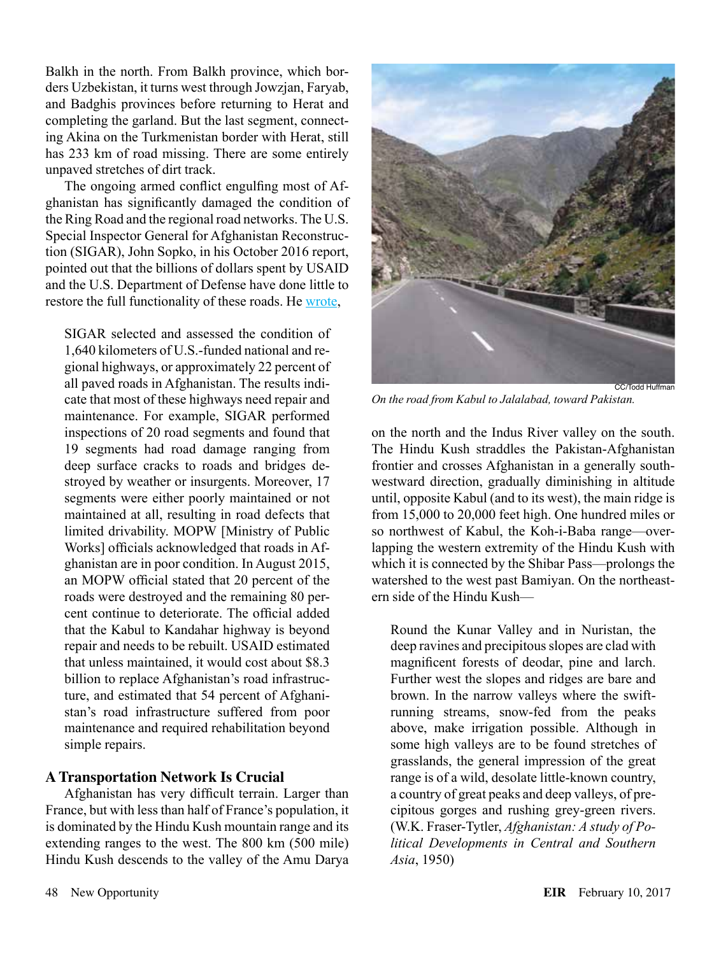Balkh in the north. From Balkh province, which borders Uzbekistan, it turns west through Jowzjan, Faryab, and Badghis provinces before returning to Herat and completing the garland. But the last segment, connecting Akina on the Turkmenistan border with Herat, still has 233 km of road missing. There are some entirely unpaved stretches of dirt track.

The ongoing armed conflict engulfing most of Afghanistan has significantly damaged the condition of the Ring Road and the regional road networks. The U.S. Special Inspector General for Afghanistan Reconstruction (SIGAR), John Sopko, in his October 2016 report, pointed out that the billions of dollars spent by USAID and the U.S. Department of Defense have done little to restore the full functionality of these roads. He [wrote,](https://www.sigar.mil/pdf/audits/SIGAR-17-11-AR.pdf)

SIGAR selected and assessed the condition of 1,640 kilometers of U.S.-funded national and regional highways, or approximately 22 percent of all paved roads in Afghanistan. The results indicate that most of these highways need repair and maintenance. For example, SIGAR performed inspections of 20 road segments and found that 19 segments had road damage ranging from deep surface cracks to roads and bridges destroyed by weather or insurgents. Moreover, 17 segments were either poorly maintained or not maintained at all, resulting in road defects that limited drivability. MOPW [Ministry of Public Works] officials acknowledged that roads in Afghanistan are in poor condition. In August 2015, an MOPW official stated that 20 percent of the roads were destroyed and the remaining 80 percent continue to deteriorate. The official added that the Kabul to Kandahar highway is beyond repair and needs to be rebuilt. USAID estimated that unless maintained, it would cost about \$8.3 billion to replace Afghanistan's road infrastructure, and estimated that 54 percent of Afghanistan's road infrastructure suffered from poor maintenance and required rehabilitation beyond simple repairs.

#### **A Transportation Network Is Crucial**

Afghanistan has very difficult terrain. Larger than France, but with less than half of France's population, it is dominated by the Hindu Kush mountain range and its extending ranges to the west. The 800 km (500 mile) Hindu Kush descends to the valley of the Amu Darya



*On the road from Kabul to Jalalabad, toward Pakistan.*

on the north and the Indus River valley on the south. The Hindu Kush straddles the Pakistan-Afghanistan frontier and crosses Afghanistan in a generally southwestward direction, gradually diminishing in altitude until, opposite Kabul (and to its west), the main ridge is from 15,000 to 20,000 feet high. One hundred miles or so northwest of Kabul, the Koh-i-Baba range—overlapping the western extremity of the Hindu Kush with which it is connected by the Shibar Pass—prolongs the watershed to the west past Bamiyan. On the northeastern side of the Hindu Kush—

Round the Kunar Valley and in Nuristan, the deep ravines and precipitous slopes are clad with magnificent forests of deodar, pine and larch. Further west the slopes and ridges are bare and brown. In the narrow valleys where the swiftrunning streams, snow-fed from the peaks above, make irrigation possible. Although in some high valleys are to be found stretches of grasslands, the general impression of the great range is of a wild, desolate little-known country, a country of great peaks and deep valleys, of precipitous gorges and rushing grey-green rivers. (W.K. Fraser-Tytler, *Afghanistan: A study of Political Developments in Central and Southern Asia*, 1950)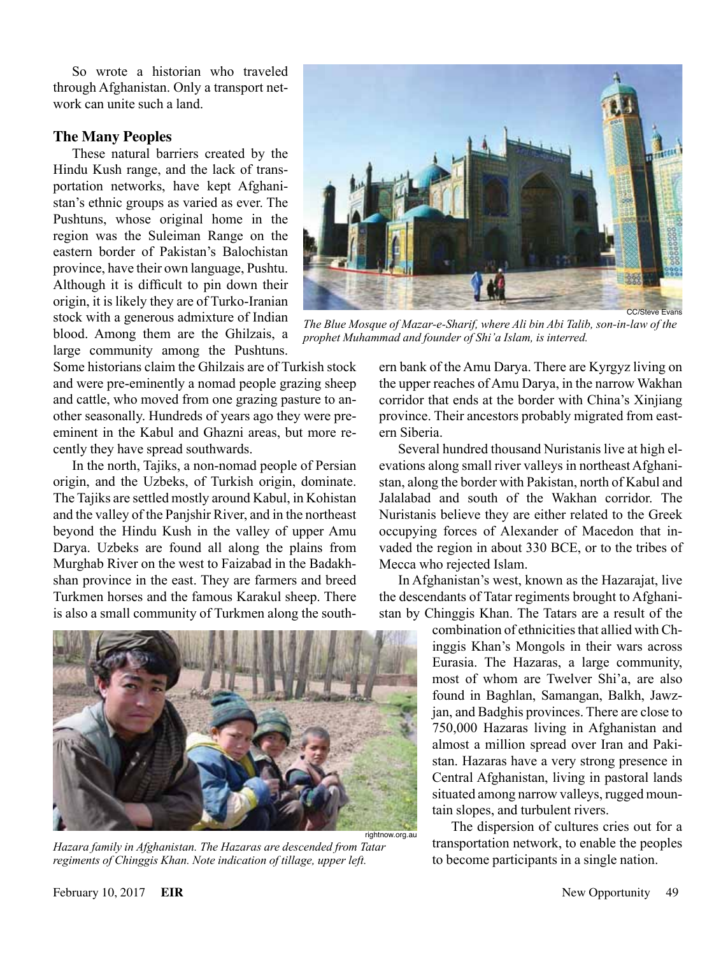So wrote a historian who traveled through Afghanistan. Only a transport network can unite such a land.

#### **The Many Peoples**

These natural barriers created by the Hindu Kush range, and the lack of transportation networks, have kept Afghanistan's ethnic groups as varied as ever. The Pushtuns, whose original home in the region was the Suleiman Range on the eastern border of Pakistan's Balochistan province, have their own language, Pushtu. Although it is difficult to pin down their origin, it is likely they are of Turko-Iranian stock with a generous admixture of Indian blood. Among them are the Ghilzais, a large community among the Pushtuns.

Some historians claim the Ghilzais are of Turkish stock and were pre-eminently a nomad people grazing sheep and cattle, who moved from one grazing pasture to another seasonally. Hundreds of years ago they were preeminent in the Kabul and Ghazni areas, but more recently they have spread southwards.

In the north, Tajiks, a non-nomad people of Persian origin, and the Uzbeks, of Turkish origin, dominate. The Tajiks are settled mostly around Kabul, in Kohistan and the valley of the Panjshir River, and in the northeast beyond the Hindu Kush in the valley of upper Amu Darya. Uzbeks are found all along the plains from Murghab River on the west to Faizabad in the Badakhshan province in the east. They are farmers and breed Turkmen horses and the famous Karakul sheep. There is also a small community of Turkmen along the south-



*Hazara family in Afghanistan. The Hazaras are descended from Tatar regiments of Chinggis Khan. Note indication of tillage, upper left.*



*The Blue Mosque of Mazar-e-Sharif, where Ali bin Abi Talib, son-in-law of the prophet Muhammad and founder of Shi'a Islam, is interred.*

ern bank of the Amu Darya. There are Kyrgyz living on the upper reaches of Amu Darya, in the narrow Wakhan corridor that ends at the border with China's Xinjiang province. Their ancestors probably migrated from eastern Siberia.

Several hundred thousand Nuristanis live at high elevations along small river valleys in northeast Afghanistan, along the border with Pakistan, north of Kabul and Jalalabad and south of the Wakhan corridor. The Nuristanis believe they are either related to the Greek occupying forces of Alexander of Macedon that invaded the region in about 330 BCE, or to the tribes of Mecca who rejected Islam.

In Afghanistan's west, known as the Hazarajat, live the descendants of Tatar regiments brought to Afghanistan by Chinggis Khan. The Tatars are a result of the

> combination of ethnicities that allied with Chinggis Khan's Mongols in their wars across Eurasia. The Hazaras, a large community, most of whom are Twelver Shi'a, are also found in Baghlan, Samangan, Balkh, Jawzjan, and Badghis provinces. There are close to 750,000 Hazaras living in Afghanistan and almost a million spread over Iran and Pakistan. Hazaras have a very strong presence in Central Afghanistan, living in pastoral lands situated among narrow valleys, rugged mountain slopes, and turbulent rivers.

> The dispersion of cultures cries out for a transportation network, to enable the peoples to become participants in a single nation.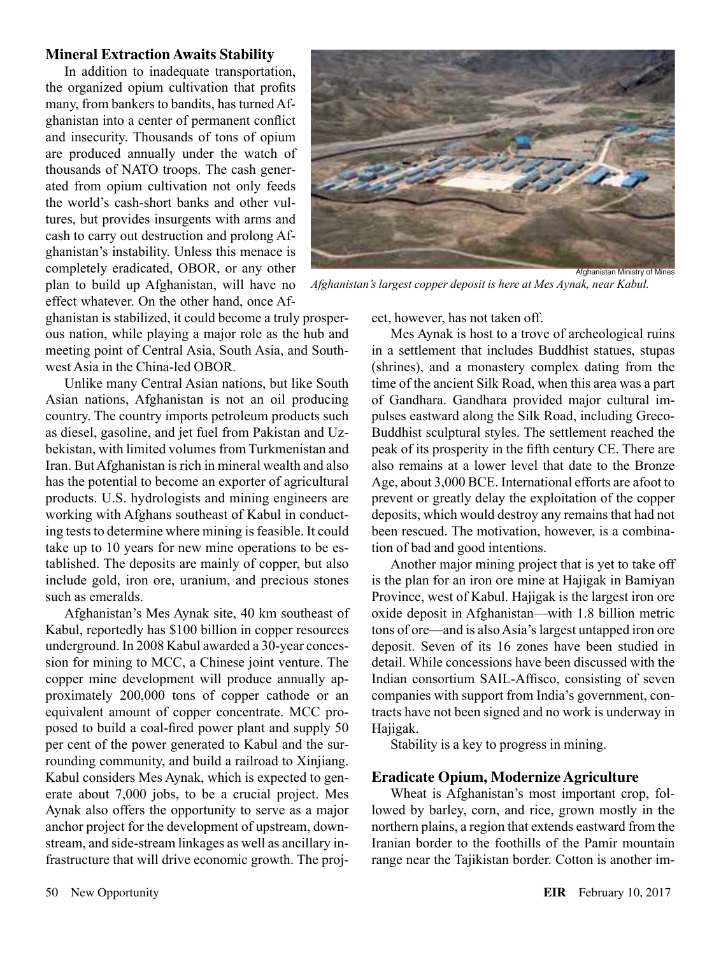#### **Mineral Extraction Awaits Stability**

In addition to inadequate transportation, the organized opium cultivation that profits many, from bankers to bandits, has turned Afghanistan into a center of permanent conflict and insecurity. Thousands of tons of opium are produced annually under the watch of thousands of NATO troops. The cash generated from opium cultivation not only feeds the world's cash-short banks and other vultures, but provides insurgents with arms and cash to carry out destruction and prolong Afghanistan's instability. Unless this menace is completely eradicated, OBOR, or any other plan to build up Afghanistan, will have no effect whatever. On the other hand, once Af-

Afghanistan Ministry of Mines

*Afghanistan's largest copper deposit is here at Mes Aynak, near Kabul.*

ghanistan is stabilized, it could become a truly prosperous nation, while playing a major role as the hub and meeting point of Central Asia, South Asia, and Southwest Asia in the China-led OBOR.

Unlike many Central Asian nations, but like South Asian nations, Afghanistan is not an oil producing country. The country imports petroleum products such as diesel, gasoline, and jet fuel from Pakistan and Uzbekistan, with limited volumes from Turkmenistan and Iran. But Afghanistan is rich in mineral wealth and also has the potential to become an exporter of agricultural products. U.S. hydrologists and mining engineers are working with Afghans southeast of Kabul in conducting tests to determine where mining is feasible. It could take up to 10 years for new mine operations to be established. The deposits are mainly of copper, but also include gold, iron ore, uranium, and precious stones such as emeralds.

Afghanistan's Mes Aynak site, 40 km southeast of Kabul, reportedly has \$100 billion in copper resources underground. In 2008 Kabul awarded a 30-year concession for mining to MCC, a Chinese joint venture. The copper mine development will produce annually approximately 200,000 tons of copper cathode or an equivalent amount of copper concentrate. MCC proposed to build a coal-fired power plant and supply 50 per cent of the power generated to Kabul and the surrounding community, and build a railroad to Xinjiang. Kabul considers Mes Aynak, which is expected to generate about 7,000 jobs, to be a crucial project. Mes Aynak also offers the opportunity to serve as a major anchor project for the development of upstream, downstream, and side-stream linkages as well as ancillary infrastructure that will drive economic growth. The project, however, has not taken off.

Mes Aynak is host to a trove of archeological ruins in a settlement that includes Buddhist statues, stupas (shrines), and a monastery complex dating from the time of the ancient Silk Road, when this area was a part of Gandhara. Gandhara provided major cultural impulses eastward along the Silk Road, including Greco-Buddhist sculptural styles. The settlement reached the peak of its prosperity in the fifth century CE. There are also remains at a lower level that date to the Bronze Age, about 3,000 BCE. International efforts are afoot to prevent or greatly delay the exploitation of the copper deposits, which would destroy any remains that had not been rescued. The motivation, however, is a combination of bad and good intentions.

Another major mining project that is yet to take off is the plan for an iron ore mine at Hajigak in Bamiyan Province, west of Kabul. Hajigak is the largest iron ore oxide deposit in Afghanistan—with 1.8 billion metric tons of ore—and is also Asia's largest untapped iron ore deposit. Seven of its 16 zones have been studied in detail. While concessions have been discussed with the Indian consortium SAIL-Affisco, consisting of seven companies with support from India's government, contracts have not been signed and no work is underway in Hajigak.

Stability is a key to progress in mining.

#### **Eradicate Opium, Modernize Agriculture**

Wheat is Afghanistan's most important crop, followed by barley, corn, and rice, grown mostly in the northern plains, a region that extends eastward from the Iranian border to the foothills of the Pamir mountain range near the Tajikistan border. Cotton is another im